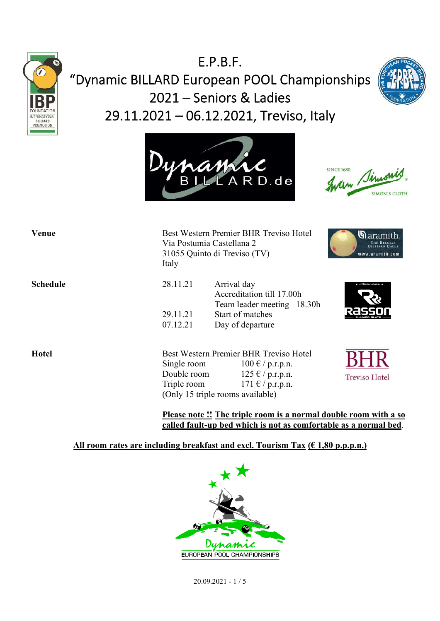

# E.P.B.F. "Dynamic BILLARD European POOL Championships 2021 – Seniors & Ladies 29.11.2021 – 06.12.2021, Treviso, Italy







| Venue           | Italy                                     | Best Western Premier BHR Treviso Hotel<br>Via Postumia Castellana 2<br>31055 Quinto di Treviso (TV)                                                                              |                                |
|-----------------|-------------------------------------------|----------------------------------------------------------------------------------------------------------------------------------------------------------------------------------|--------------------------------|
| <b>Schedule</b> | 28.11.21<br>29.11.21<br>07.12.21          | Arrival day<br>Accreditation till 17.00h<br>Team leader meeting 18.30h<br>Start of matches<br>Day of departure                                                                   | $\star$ official slate $\star$ |
| <b>Hotel</b>    | Single room<br>Double room<br>Triple room | Best Western Premier BHR Treviso Hotel<br>$100 \text{ } \in / \text{ } p.r.p.n.$<br>$125 \text{ € } / \text{ p.r.p.n.}$<br>$171 \& p.r.p.n.$<br>(Only 15 triple rooms available) | <b>Treviso Hotel</b>           |

**Please note !! The triple room is a normal double room with a so called fault-up bed which is not as comfortable as a normal bed**.

#### **All room rates are including breakfast and excl. Tourism Tax (€ 1,80 p.p.p.n.)**



20.09.2021 - 1 / 5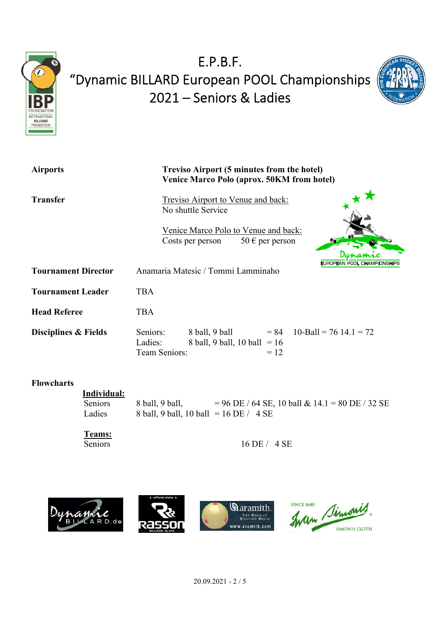



| <b>Airports</b>            | Treviso Airport (5 minutes from the hotel)<br>Venice Marco Polo (aprox. 50KM from hotel)                                           |  |
|----------------------------|------------------------------------------------------------------------------------------------------------------------------------|--|
| <b>Transfer</b>            | Treviso Airport to Venue and back:<br>No shuttle Service                                                                           |  |
|                            | Venice Marco Polo to Venue and back:<br>50 € per person<br>Costs per person                                                        |  |
| <b>Tournament Director</b> | EUROPEAN POOL CHAMPIONSHIPS<br>Anamaria Matesic / Tommi Lamminaho                                                                  |  |
| <b>Tournament Leader</b>   | <b>TBA</b>                                                                                                                         |  |
| <b>Head Referee</b>        | <b>TBA</b>                                                                                                                         |  |
| Disciplines & Fields       | $= 84$ 10-Ball = 76 14.1 = 72<br>Seniors:<br>8 ball, 9 ball<br>Ladies:<br>8 ball, 9 ball, 10 ball = $16$<br>Team Seniors:<br>$=12$ |  |

#### **Flowcharts**

 **Individual:** Seniors 8 ball, 9 ball,  $= 96$  DE / 64 SE, 10 ball & 14.1 = 80 DE / 32 SE<br>Ladies 8 ball, 9 ball, 10 ball = 16 DE / 4 SE 8 ball, 9 ball, 10 ball = 16 DE / 4 SE

Teams:<br>Seniors

16 DE / 4 SE

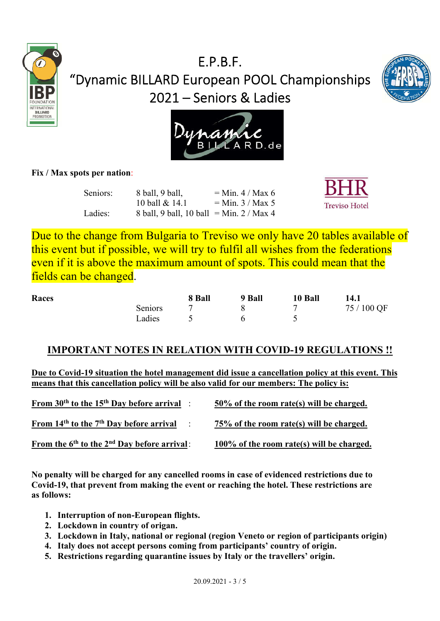





#### **Fix / Max spots per nation**:

| Seniors: | 8 ball, 9 ball,                            | $=$ Min. 4 / Max 6 |
|----------|--------------------------------------------|--------------------|
|          | 10 ball & 14.1                             | $=$ Min. 3 / Max 5 |
| Ladies:  | 8 ball, 9 ball, 10 ball = Min. $2 / Max 4$ |                    |



Due to the change from Bulgaria to Treviso we only have 20 tables available of this event but if possible, we will try to fulfil all wishes from the federations even if it is above the maximum amount of spots. This could mean that the fields can be changed.

| Races |         | 8 Ball | 9 Ball | 10 Ball | 14.1        |
|-------|---------|--------|--------|---------|-------------|
|       | Seniors |        |        |         | 75 / 100 QF |
|       | Ladies  |        |        |         |             |

### **IMPORTANT NOTES IN RELATION WITH COVID-19 REGULATIONS !!**

**Due to Covid-19 situation the hotel management did issue a cancellation policy at this event. This means that this cancellation policy will be also valid for our members: The policy is:**

| From $30th$ to the 15 <sup>th</sup> Day before arrival : | 50% of the room rate(s) will be charged.     |
|----------------------------------------------------------|----------------------------------------------|
| From $14th$ to the $7th$ Day before arrival :            | 75% of the room rate(s) will be charged.     |
| From the $6th$ to the $2nd$ Day before arrival:          | $100\%$ of the room rate(s) will be charged. |

**No penalty will be charged for any cancelled rooms in case of evidenced restrictions due to Covid-19, that prevent from making the event or reaching the hotel. These restrictions are as follows:**

- **1. Interruption of non-European flights.**
- **2. Lockdown in country of origan.**
- **3. Lockdown in Italy, national or regional (region Veneto or region of participants origin)**
- **4. Italy does not accept persons coming from participants' country of origin.**
- **5. Restrictions regarding quarantine issues by Italy or the travellers' origin.**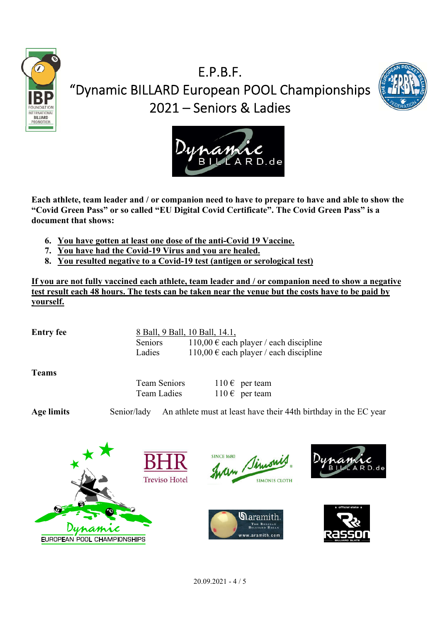





**Each athlete, team leader and / or companion need to have to prepare to have and able to show the "Covid Green Pass" or so called "EU Digital Covid Certificate". The Covid Green Pass" is a document that shows:**

- **6. You have gotten at least one dose of the anti-Covid 19 Vaccine.**
- **7. You have had the Covid-19 Virus and you are healed.**
- **8. You resulted negative to a Covid-19 test (antigen or serological test)**

**If you are not fully vaccined each athlete, team leader and / or companion need to show a negative test result each 48 hours. The tests can be taken near the venue but the costs have to be paid by yourself.**

**Entry fee** 8 Ball, 9 Ball, 10 Ball, 14.1, Seniors 110,00  $\epsilon$  each player / each discipline Ladies 110,00  $\epsilon$  each player / each discipline

**Teams**

Team Seniors  $110 \epsilon$  per team Team Ladies  $110 \epsilon$  per team

**Age limits** Senior/lady An athlete must at least have their 44th birthday in the EC year











l

I